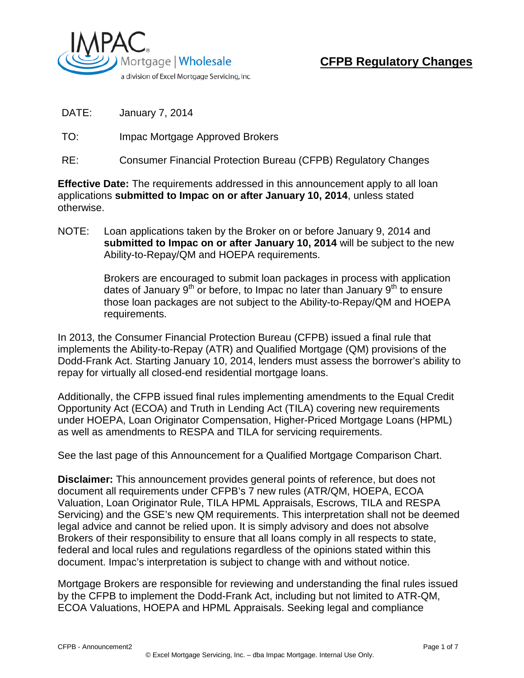

- DATE: January 7, 2014
- TO: Impac Mortgage Approved Brokers
- RE: Consumer Financial Protection Bureau (CFPB) Regulatory Changes

**Effective Date:** The requirements addressed in this announcement apply to all loan applications **submitted to Impac on or after January 10, 2014**, unless stated otherwise.

NOTE: Loan applications taken by the Broker on or before January 9, 2014 and **submitted to Impac on or after January 10, 2014** will be subject to the new Ability-to-Repay/QM and HOEPA requirements.

> Brokers are encouraged to submit loan packages in process with application dates of January  $9<sup>th</sup>$  or before, to Impac no later than January  $9<sup>th</sup>$  to ensure those loan packages are not subject to the Ability-to-Repay/QM and HOEPA requirements.

In 2013, the Consumer Financial Protection Bureau (CFPB) issued a final rule that implements the Ability-to-Repay (ATR) and Qualified Mortgage (QM) provisions of the Dodd-Frank Act. Starting January 10, 2014, lenders must assess the borrower's ability to repay for virtually all closed-end residential mortgage loans.

Additionally, the CFPB issued final rules implementing amendments to the Equal Credit Opportunity Act (ECOA) and Truth in Lending Act (TILA) covering new requirements under HOEPA, Loan Originator Compensation, Higher-Priced Mortgage Loans (HPML) as well as amendments to RESPA and TILA for servicing requirements.

See the last page of this Announcement for a Qualified Mortgage Comparison Chart.

**Disclaimer:** This announcement provides general points of reference, but does not document all requirements under CFPB's 7 new rules (ATR/QM, HOEPA, ECOA Valuation, Loan Originator Rule, TILA HPML Appraisals, Escrows, TILA and RESPA Servicing) and the GSE's new QM requirements. This interpretation shall not be deemed legal advice and cannot be relied upon. It is simply advisory and does not absolve Brokers of their responsibility to ensure that all loans comply in all respects to state, federal and local rules and regulations regardless of the opinions stated within this document. Impac's interpretation is subject to change with and without notice.

Mortgage Brokers are responsible for reviewing and understanding the final rules issued by the CFPB to implement the Dodd-Frank Act, including but not limited to ATR-QM, ECOA Valuations, HOEPA and HPML Appraisals. Seeking legal and compliance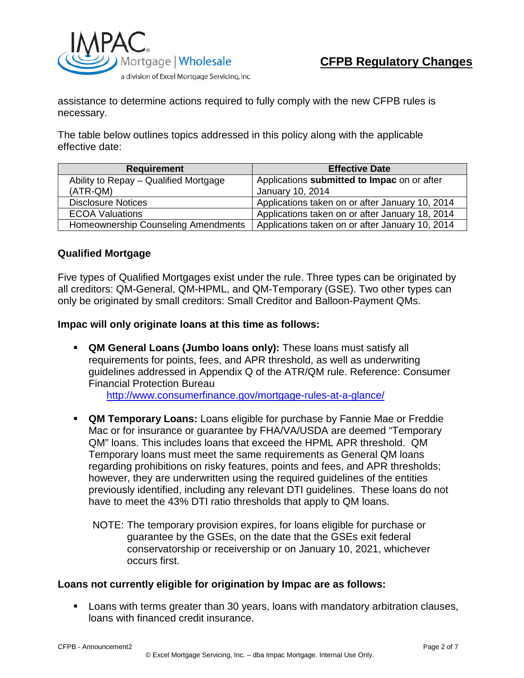

assistance to determine actions required to fully comply with the new CFPB rules is necessary.

The table below outlines topics addressed in this policy along with the applicable effective date:

| <b>Requirement</b>                    | <b>Effective Date</b>                           |  |  |
|---------------------------------------|-------------------------------------------------|--|--|
| Ability to Repay - Qualified Mortgage | Applications submitted to Impac on or after     |  |  |
| (ATR-QM)                              | January 10, 2014                                |  |  |
| <b>Disclosure Notices</b>             | Applications taken on or after January 10, 2014 |  |  |
| <b>ECOA Valuations</b>                | Applications taken on or after January 18, 2014 |  |  |
| Homeownership Counseling Amendments   | Applications taken on or after January 10, 2014 |  |  |

## **Qualified Mortgage**

Five types of Qualified Mortgages exist under the rule. Three types can be originated by all creditors: QM-General, QM-HPML, and QM-Temporary (GSE). Two other types can only be originated by small creditors: Small Creditor and Balloon-Payment QMs.

**Impac will only originate loans at this time as follows:**

- **QM General Loans (Jumbo loans only):** These loans must satisfy all requirements for points, fees, and APR threshold, as well as underwriting guidelines addressed in Appendix Q of the ATR/QM rule. Reference: Consumer Financial Protection Bureau <http://www.consumerfinance.gov/mortgage-rules-at-a-glance/>
- **QM Temporary Loans:** Loans eligible for purchase by Fannie Mae or Freddie Mac or for insurance or guarantee by FHA/VA/USDA are deemed "Temporary QM" loans. This includes loans that exceed the HPML APR threshold. QM Temporary loans must meet the same requirements as General QM loans regarding prohibitions on risky features, points and fees, and APR thresholds; however, they are underwritten using the required guidelines of the entities previously identified, including any relevant DTI guidelines. These loans do not have to meet the 43% DTI ratio thresholds that apply to QM loans.
	- NOTE: The temporary provision expires, for loans eligible for purchase or guarantee by the GSEs, on the date that the GSEs exit federal conservatorship or receivership or on January 10, 2021, whichever occurs first.

#### **Loans not currently eligible for origination by Impac are as follows:**

 Loans with terms greater than 30 years, loans with mandatory arbitration clauses, loans with financed credit insurance.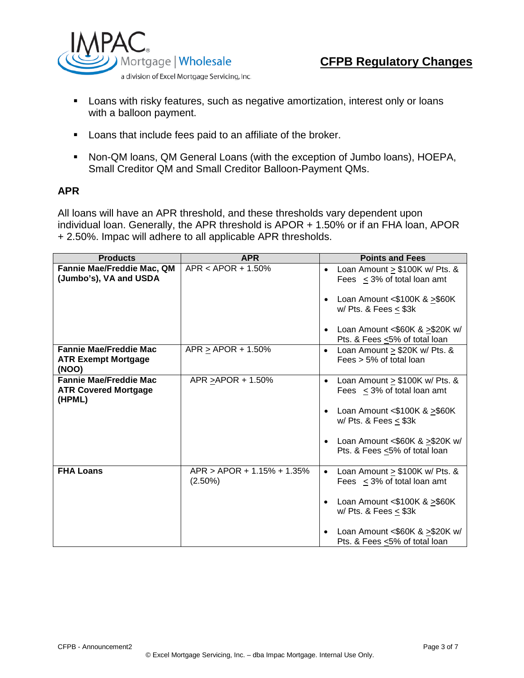

- 
- **EXTE A** Loans with risky features, such as negative amortization, interest only or loans with a balloon payment.
- Loans that include fees paid to an affiliate of the broker.
- Non-QM loans, QM General Loans (with the exception of Jumbo loans), HOEPA, Small Creditor QM and Small Creditor Balloon-Payment QMs.

### **APR**

All loans will have an APR threshold, and these thresholds vary dependent upon individual loan. Generally, the APR threshold is APOR + 1.50% or if an FHA loan, APOR + 2.50%. Impac will adhere to all applicable APR thresholds.

| <b>Products</b>                                                        | <b>APR</b>                               | <b>Points and Fees</b>                                                                                                                                 |  |  |
|------------------------------------------------------------------------|------------------------------------------|--------------------------------------------------------------------------------------------------------------------------------------------------------|--|--|
| Fannie Mae/Freddie Mac, QM<br>(Jumbo's), VA and USDA                   | $APR < APOR + 1.50\%$                    | Loan Amount $\geq$ \$100K w/ Pts. &<br>$\bullet$<br>Fees $\leq$ 3% of total loan amt<br>Loan Amount $< $100K$ & $> $60K$<br>w/ Pts. & Fees $\leq$ \$3k |  |  |
|                                                                        |                                          | Loan Amount <\$60K & >\$20K w/<br>Pts. & Fees <5% of total loan                                                                                        |  |  |
| <b>Fannie Mae/Freddie Mac</b><br><b>ATR Exempt Mortgage</b><br>(NOO)   | $APR \ge APOR + 1.50\%$                  | Loan Amount $\ge$ \$20K w/ Pts. &<br>$\bullet$<br>Fees > 5% of total loan                                                                              |  |  |
| <b>Fannie Mae/Freddie Mac</b><br><b>ATR Covered Mortgage</b><br>(HPML) | APR > APOR + 1.50%                       | Loan Amount $\geq$ \$100K w/ Pts. &<br>$\bullet$<br>Fees $\leq$ 3% of total loan amt                                                                   |  |  |
|                                                                        |                                          | Loan Amount $<$ \$100K & $>$ \$60K<br>$\bullet$<br>w/ Pts. & Fees $<$ \$3k                                                                             |  |  |
|                                                                        |                                          | Loan Amount <\$60K & >\$20K w/<br>Pts. & Fees <5% of total loan                                                                                        |  |  |
| <b>FHA Loans</b>                                                       | APR > APOR + 1.15% + 1.35%<br>$(2.50\%)$ | Loan Amount > \$100K w/ Pts. &<br>$\bullet$<br>Fees $\leq$ 3% of total loan amt                                                                        |  |  |
|                                                                        |                                          | Loan Amount <\$100K & $\geq$ \$60K<br>w/ Pts. & Fees $<$ \$3k                                                                                          |  |  |
|                                                                        |                                          | Loan Amount <\$60K & >\$20K w/<br>Pts. & Fees <5% of total loan                                                                                        |  |  |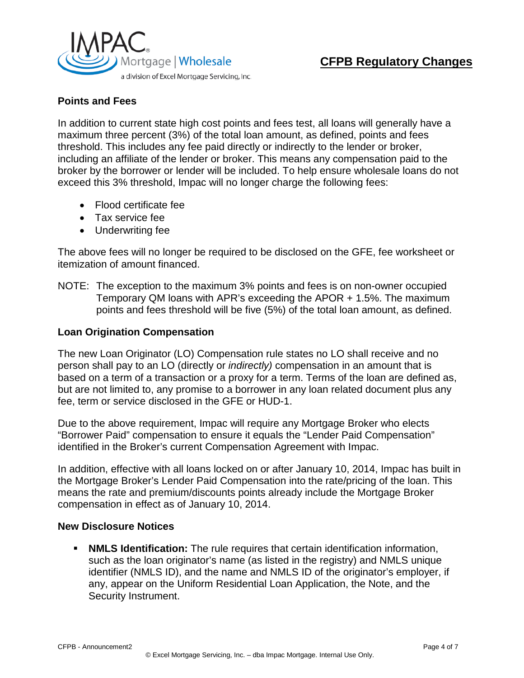

# **CFPB Regulatory Changes**

## **Points and Fees**

In addition to current state high cost points and fees test, all loans will generally have a maximum three percent (3%) of the total loan amount, as defined, points and fees threshold. This includes any fee paid directly or indirectly to the lender or broker, including an affiliate of the lender or broker. This means any compensation paid to the broker by the borrower or lender will be included. To help ensure wholesale loans do not exceed this 3% threshold, Impac will no longer charge the following fees:

- Flood certificate fee
- Tax service fee
- Underwriting fee

The above fees will no longer be required to be disclosed on the GFE, fee worksheet or itemization of amount financed.

NOTE: The exception to the maximum 3% points and fees is on non-owner occupied Temporary QM loans with APR's exceeding the APOR + 1.5%. The maximum points and fees threshold will be five (5%) of the total loan amount, as defined.

#### **Loan Origination Compensation**

The new Loan Originator (LO) Compensation rule states no LO shall receive and no person shall pay to an LO (directly or *indirectly)* compensation in an amount that is based on a term of a transaction or a proxy for a term. Terms of the loan are defined as, but are not limited to, any promise to a borrower in any loan related document plus any fee, term or service disclosed in the GFE or HUD-1.

Due to the above requirement, Impac will require any Mortgage Broker who elects "Borrower Paid" compensation to ensure it equals the "Lender Paid Compensation" identified in the Broker's current Compensation Agreement with Impac.

In addition, effective with all loans locked on or after January 10, 2014, Impac has built in the Mortgage Broker's Lender Paid Compensation into the rate/pricing of the loan. This means the rate and premium/discounts points already include the Mortgage Broker compensation in effect as of January 10, 2014.

#### **New Disclosure Notices**

**NMLS Identification:** The rule requires that certain identification information, such as the loan originator's name (as listed in the registry) and NMLS unique identifier (NMLS ID), and the name and NMLS ID of the originator's employer, if any, appear on the Uniform Residential Loan Application, the Note, and the Security Instrument.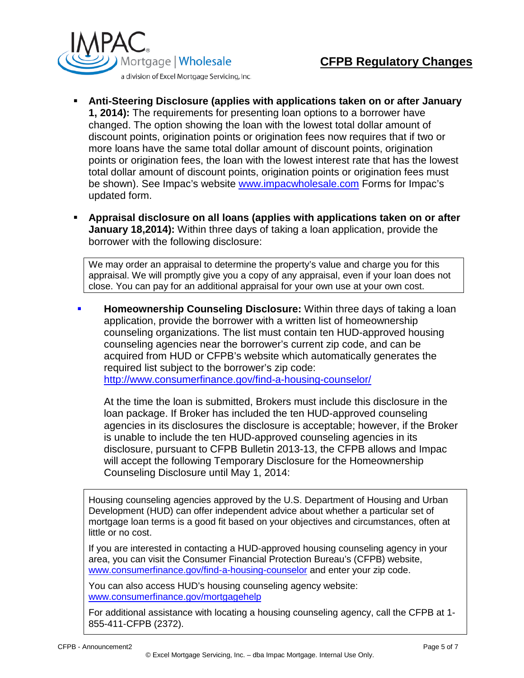

- **Anti-Steering Disclosure (applies with applications taken on or after January 1, 2014):** The requirements for presenting loan options to a borrower have changed. The option showing the loan with the lowest total dollar amount of discount points, origination points or origination fees now requires that if two or more loans have the same total dollar amount of discount points, origination points or origination fees, the loan with the lowest interest rate that has the lowest total dollar amount of discount points, origination points or origination fees must be shown). See Impac's website [www.impacwholesale.com](http://www.impacwholesale.com/) Forms for Impac's updated form.
- **Appraisal disclosure on all loans (applies with applications taken on or after January 18,2014):** Within three days of taking a loan application, provide the borrower with the following disclosure:

We may order an appraisal to determine the property's value and charge you for this appraisal. We will promptly give you a copy of any appraisal, even if your loan does not close. You can pay for an additional appraisal for your own use at your own cost.

 **Homeownership Counseling Disclosure:** Within three days of taking a loan application, provide the borrower with a written list of homeownership counseling organizations. The list must contain ten HUD-approved housing counseling agencies near the borrower's current zip code, and can be acquired from HUD or CFPB's website which automatically generates the required list subject to the borrower's zip code: <http://www.consumerfinance.gov/find-a-housing-counselor/>

At the time the loan is submitted, Brokers must include this disclosure in the loan package. If Broker has included the ten HUD-approved counseling agencies in its disclosures the disclosure is acceptable; however, if the Broker is unable to include the ten HUD-approved counseling agencies in its disclosure, pursuant to CFPB Bulletin 2013-13, the CFPB allows and Impac will accept the following Temporary Disclosure for the Homeownership Counseling Disclosure until May 1, 2014:

Housing counseling agencies approved by the U.S. Department of Housing and Urban Development (HUD) can offer independent advice about whether a particular set of mortgage loan terms is a good fit based on your objectives and circumstances, often at little or no cost.

If you are interested in contacting a HUD-approved housing counseling agency in your area, you can visit the Consumer Financial Protection Bureau's (CFPB) website, [www.consumerfinance.gov/find-a-housing-counselor](http://www.consumerfinance.gov/find-a-housing-counselor) and enter your zip code.

You can also access HUD's housing counseling agency website: [www.consumerfinance.gov/mortgagehelp](http://www.consumerfinance.gov/mortgagehelp)

For additional assistance with locating a housing counseling agency, call the CFPB at 1- 855-411-CFPB (2372).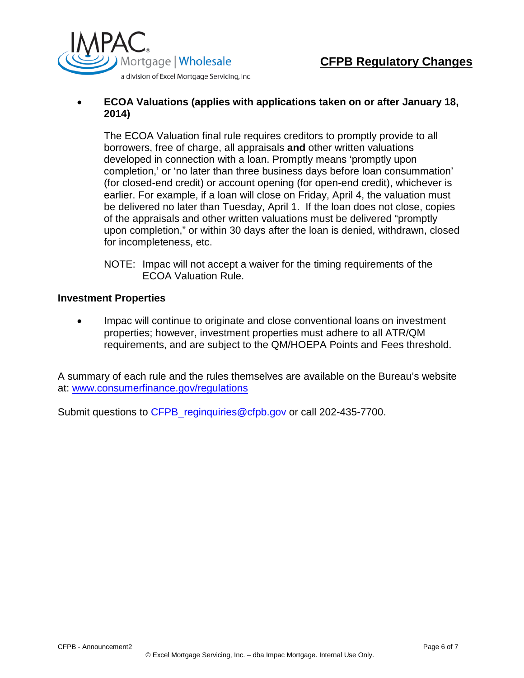

## • **ECOA Valuations (applies with applications taken on or after January 18, 2014)**

The ECOA Valuation final rule requires creditors to promptly provide to all borrowers, free of charge, all appraisals **and** other written valuations developed in connection with a loan. Promptly means 'promptly upon completion,' or 'no later than three business days before loan consummation' (for closed-end credit) or account opening (for open-end credit), whichever is earlier. For example, if a loan will close on Friday, April 4, the valuation must be delivered no later than Tuesday, April 1. If the loan does not close, copies of the appraisals and other written valuations must be delivered "promptly upon completion," or within 30 days after the loan is denied, withdrawn, closed for incompleteness, etc.

NOTE: Impac will not accept a waiver for the timing requirements of the ECOA Valuation Rule.

### **Investment Properties**

• Impac will continue to originate and close conventional loans on investment properties; however, investment properties must adhere to all ATR/QM requirements, and are subject to the QM/HOEPA Points and Fees threshold.

A summary of each rule and the rules themselves are available on the Bureau's website at: [www.consumerfinance.gov/regulations](http://www.consumerfinance.gov/regulations)

Submit questions to CFPB reginquiries@cfpb.gov or call 202-435-7700.